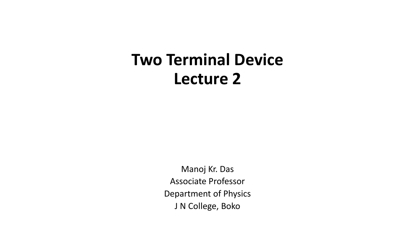# **Two Terminal Device Lecture 2**

Manoj Kr. Das Associate Professor Department of Physics J N College, Boko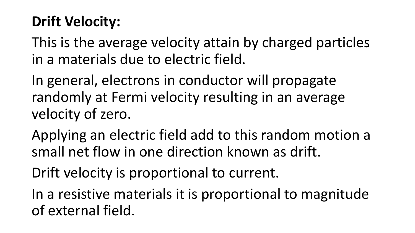### **Drift Velocity:**

This is the average velocity attain by charged particles in a materials due to electric field.

In general, electrons in conductor will propagate randomly at Fermi velocity resulting in an average velocity of zero.

Applying an electric field add to this random motion a small net flow in one direction known as drift.

Drift velocity is proportional to current.

In a resistive materials it is proportional to magnitude of external field.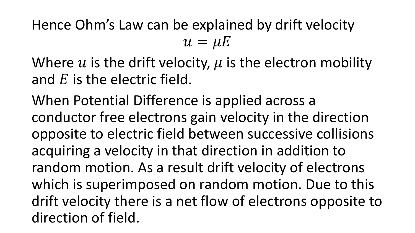Hence Ohm's Law can be explained by drift velocity  $u=\mu E$ 

Where u is the drift velocity,  $\mu$  is the electron mobility and  $E$  is the electric field.

When Potential Difference is applied across a conductor free electrons gain velocity in the direction opposite to electric field between successive collisions acquiring a velocity in that direction in addition to random motion. As a result drift velocity of electrons which is superimposed on random motion. Due to this drift velocity there is a net flow of electrons opposite to direction of field.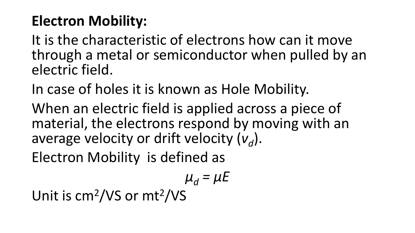## **Electron Mobility:**

It is the characteristic of electrons how can it move through a metal or semiconductor when pulled by an electric field.

In case of holes it is known as Hole Mobility.

When an electric field is applied across a piece of material, the electrons respond by moving with an average velocity or drift velocity ( $v_d$ ).

Electron Mobility is defined as

$$
\mu_d = \mu E
$$

Unit is cm<sup>2</sup>/VS or mt<sup>2</sup>/VS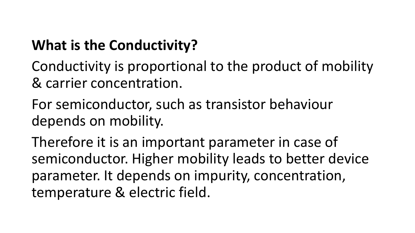## **What is the Conductivity?**

Conductivity is proportional to the product of mobility & carrier concentration.

For semiconductor, such as transistor behaviour depends on mobility.

Therefore it is an important parameter in case of semiconductor. Higher mobility leads to better device parameter. It depends on impurity, concentration, temperature & electric field.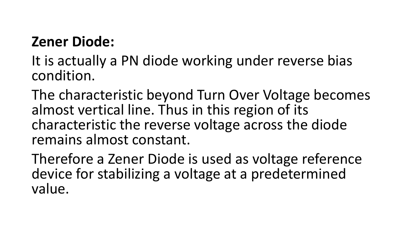#### **Zener Diode:**

- It is actually a PN diode working under reverse bias condition.
- The characteristic beyond Turn Over Voltage becomes almost vertical line. Thus in this region of its characteristic the reverse voltage across the diode remains almost constant.
- Therefore a Zener Diode is used as voltage reference device for stabilizing a voltage at a predetermined value.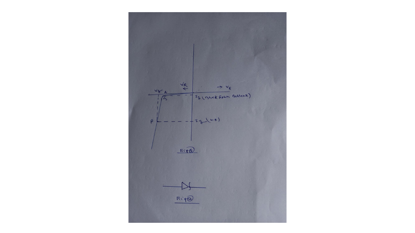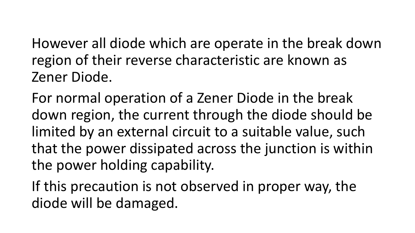However all diode which are operate in the break down region of their reverse characteristic are known as Zener Diode.

For normal operation of a Zener Diode in the break down region, the current through the diode should be limited by an external circuit to a suitable value, such that the power dissipated across the junction is within the power holding capability.

If this precaution is not observed in proper way, the diode will be damaged.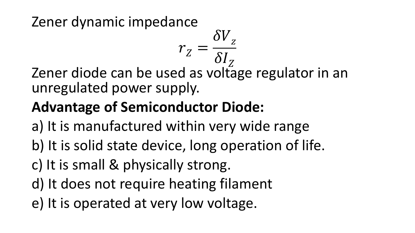#### Zener dynamic impedance

 $\delta$ <sup> $I_Z$ </sup> Zener diode can be used as voltage regulator in an unregulated power supply.

 $r_{Z} =$ 

 $\delta V_{z}$ 

# **Advantage of Semiconductor Diode:**

- a) It is manufactured within very wide range
- b) It is solid state device, long operation of life.
- c) It is small & physically strong.
- d) It does not require heating filament
- e) It is operated at very low voltage.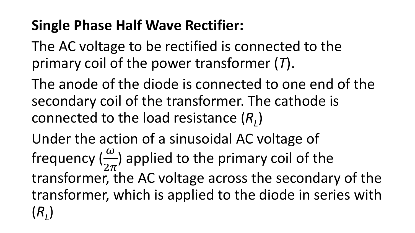## **Single Phase Half Wave Rectifier:**

The AC voltage to be rectified is connected to the primary coil of the power transformer (*T*).

The anode of the diode is connected to one end of the secondary coil of the transformer. The cathode is connected to the load resistance (*R<sup>L</sup>* )

Under the action of a sinusoidal AC voltage of frequency  $(\frac{\omega}{2\pi})$  $2\pi$ ) applied to the primary coil of the transformer, the AC voltage across the secondary of the transformer, which is applied to the diode in series with (*RL* )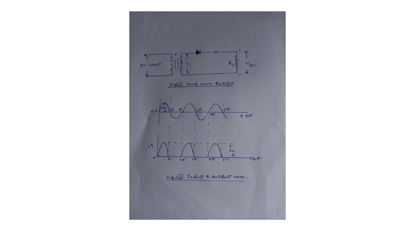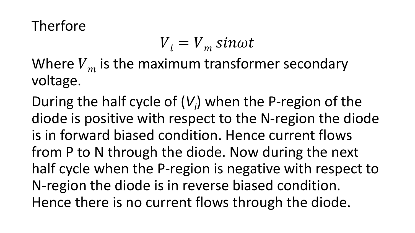### Therfore

$$
V_i = V_m \sin \omega t
$$

Where  $V_m$  is the maximum transformer secondary voltage.

During the half cycle of (*V<sup>i</sup>* ) when the P-region of the diode is positive with respect to the N-region the diode is in forward biased condition. Hence current flows from P to N through the diode. Now during the next half cycle when the P-region is negative with respect to N-region the diode is in reverse biased condition. Hence there is no current flows through the diode.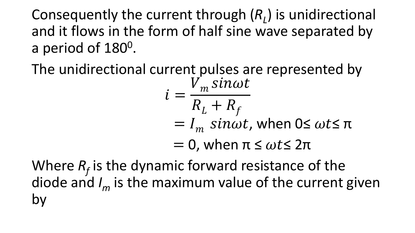Consequently the current through (*R<sup>L</sup>* ) is unidirectional and it flows in the form of half sine wave separated by a period of 180<sup>0</sup>.

The unidirectional current pulses are represented by

$$
i = \frac{V_m \sin \omega t}{R_L + R_f}
$$
  
=  $I_m \sin \omega t$ , when  $0 \le \omega t \le \pi$   
= 0, when  $\pi \le \omega t \le 2\pi$ 

Where  $R_f$  is the dynamic forward resistance of the diode and *I<sup>m</sup>* is the maximum value of the current given by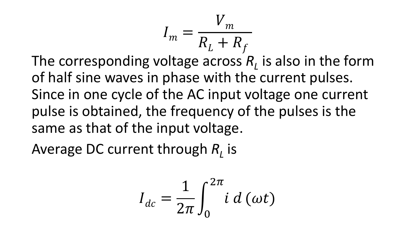$$
I_m = \frac{V_m}{R_L + R_f}
$$

The corresponding voltage across *R<sup>L</sup>* is also in the form of half sine waves in phase with the current pulses. Since in one cycle of the AC input voltage one current pulse is obtained, the frequency of the pulses is the same as that of the input voltage.

Average DC current through  $R_{L}$  is

$$
I_{dc} = \frac{1}{2\pi} \int_0^{2\pi} i \, d\,(\omega t)
$$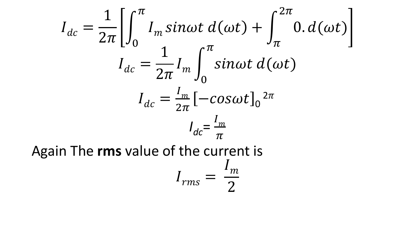$$
I_{dc} = \frac{1}{2\pi} \left[ \int_0^{\pi} I_m \sin \omega t \, d(\omega t) + \int_{\pi}^{2\pi} 0 \cdot d(\omega t) \right]
$$

$$
I_{dc} = \frac{1}{2\pi} I_m \int_0^{\pi} \sin \omega t \, d(\omega t)
$$

$$
I_{dc} = \frac{I_m}{2\pi} \left[ -\cos \omega t \right]_0^{2\pi}
$$

$$
I_{dc} = \frac{I_m}{\pi}
$$
Again The **rms** value of the current is
$$
I_{rms} = \frac{I_m}{2}
$$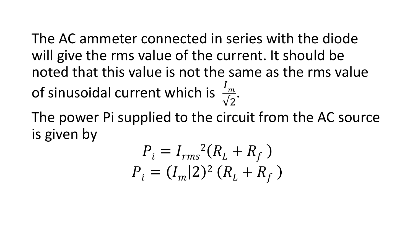The AC ammeter connected in series with the diode will give the rms value of the current. It should be noted that this value is not the same as the rms value of sinusoidal current which is  $\frac{1}{2}$  $\overline{m}$  $\sqrt{2}$ .

The power Pi supplied to the circuit from the AC source is given by

$$
P_i = I_{rms}^2(R_L + R_f)
$$
  

$$
P_i = (I_m|2)^2 (R_L + R_f)
$$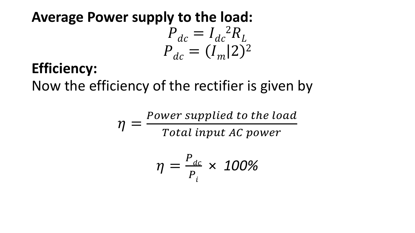# **Average Power supply to the load:**  $P_{dc} = I_{dc}^{2} R_{L}$  $P_{dc} = (I_m | 2)^2$

# **Efficiency:**

Now the efficiency of the rectifier is given by

 $\eta =$ Power supplied to the load Total input AC power

$$
\eta = \frac{P_{dc}}{P_i} \times 100\%
$$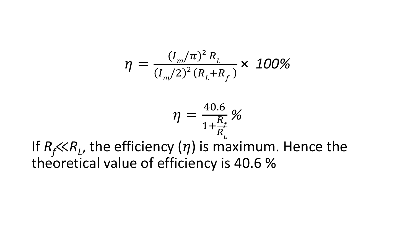$$
\eta = \frac{(I_m/\pi)^2 R_L}{(I_m/2)^2 (R_L + R_f)} \times 100\%
$$

$$
\eta = \frac{40.6}{1 + \frac{R_f}{R_L}} \%
$$

If  $R_f \ll R_L$ , the efficiency  $(\eta)$  is maximum. Hence the theoretical value of efficiency is 40.6 %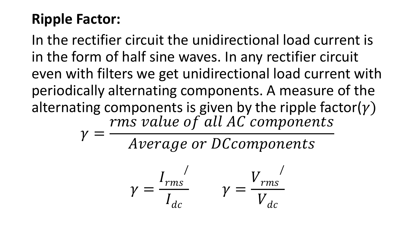### **Ripple Factor:**

In the rectifier circuit the unidirectional load current is in the form of half sine waves. In any rectifier circuit even with filters we get unidirectional load current with periodically alternating components. A measure of the alternating components is given by the ripple factor( $\gamma$ )  $\gamma =$ rms value of all AC components

Average or DCcomponents

$$
\gamma = \frac{I_{rms}}{I_{dc}} \qquad \gamma = \frac{V_{rms}}{V_{dc}}
$$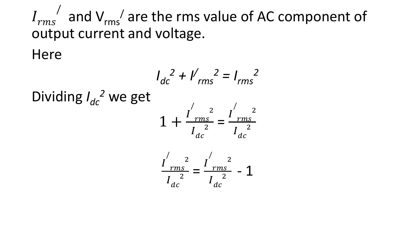$I_{rms}$ / and  $V_{rms}$  are the rms value of AC component of output current and voltage.

Here

Dividing 
$$
I_{dc}^2
$$
 we get  
\n
$$
1 + \frac{I_{rms}^2}{I_{ac}^2} = \frac{I_{rms}^2}{I_{dc}^2}
$$
\n
$$
\frac{I_{rms}^2}{I_{ac}^2} = \frac{I_{rms}^2}{I_{ac}^2} - 1
$$